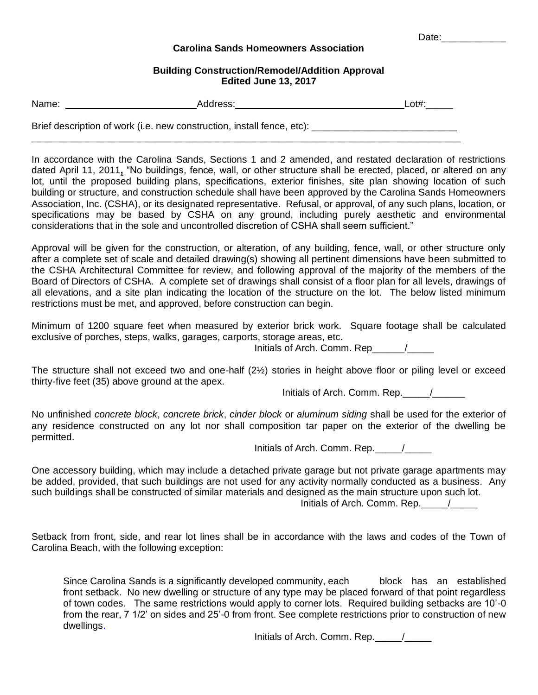Date:\_\_\_\_\_\_\_\_\_\_\_\_

## **Carolina Sands Homeowners Association**

## **Building Construction/Remodel/Addition Approval Edited June 13, 2017**

| Name: | ldress | $\bigwedge^{\dagger\dagger}$<br>–∽… |
|-------|--------|-------------------------------------|
|       |        |                                     |

\_\_\_\_\_\_\_\_\_\_\_\_\_\_\_\_\_\_\_\_\_\_\_\_\_\_\_\_\_\_\_\_\_\_\_\_\_\_\_\_\_\_\_\_\_\_\_\_\_\_\_\_\_\_\_\_\_\_\_\_\_\_\_\_\_\_\_\_\_\_\_\_\_\_\_\_\_\_\_\_

Brief description of work (i.e. new construction, install fence, etc): \_\_\_\_\_\_\_\_\_

In accordance with the Carolina Sands, Sections 1 and 2 amended, and restated declaration of restrictions dated April 11, 2011**,** "No buildings, fence, wall, or other structure shall be erected, placed, or altered on any lot, until the proposed building plans, specifications, exterior finishes, site plan showing location of such building or structure, and construction schedule shall have been approved by the Carolina Sands Homeowners Association, Inc. (CSHA), or its designated representative. Refusal, or approval, of any such plans, location, or specifications may be based by CSHA on any ground, including purely aesthetic and environmental considerations that in the sole and uncontrolled discretion of CSHA shall seem sufficient."

Approval will be given for the construction, or alteration, of any building, fence, wall, or other structure only after a complete set of scale and detailed drawing(s) showing all pertinent dimensions have been submitted to the CSHA Architectural Committee for review, and following approval of the majority of the members of the Board of Directors of CSHA. A complete set of drawings shall consist of a floor plan for all levels, drawings of all elevations, and a site plan indicating the location of the structure on the lot. The below listed minimum restrictions must be met, and approved, before construction can begin.

Minimum of 1200 square feet when measured by exterior brick work. Square footage shall be calculated exclusive of porches, steps, walks, garages, carports, storage areas, etc.

Initials of Arch. Comm. Rep  $\overline{\phantom{a}}$ 

The structure shall not exceed two and one-half (2½) stories in height above floor or piling level or exceed thirty-five feet (35) above ground at the apex.

Initials of Arch. Comm. Rep.  $\qquad /$ 

No unfinished *concrete block*, *concrete brick*, *cinder block* or *aluminum siding* shall be used for the exterior of any residence constructed on any lot nor shall composition tar paper on the exterior of the dwelling be permitted.

Initials of Arch. Comm. Rep.\_\_\_\_\_/\_\_\_\_\_

One accessory building, which may include a detached private garage but not private garage apartments may be added, provided, that such buildings are not used for any activity normally conducted as a business. Any such buildings shall be constructed of similar materials and designed as the main structure upon such lot. Initials of Arch. Comm. Rep.  $\qquad /$ 

Setback from front, side, and rear lot lines shall be in accordance with the laws and codes of the Town of Carolina Beach, with the following exception:

Since Carolina Sands is a significantly developed community, each block has an established front setback. No new dwelling or structure of any type may be placed forward of that point regardless of town codes. The same restrictions would apply to corner lots. Required building setbacks are 10'-0 from the rear, 7 1/2' on sides and 25'-0 from front. See complete restrictions prior to construction of new dwellings.

Initials of Arch. Comm. Rep.\_\_\_\_\_/\_\_\_\_\_